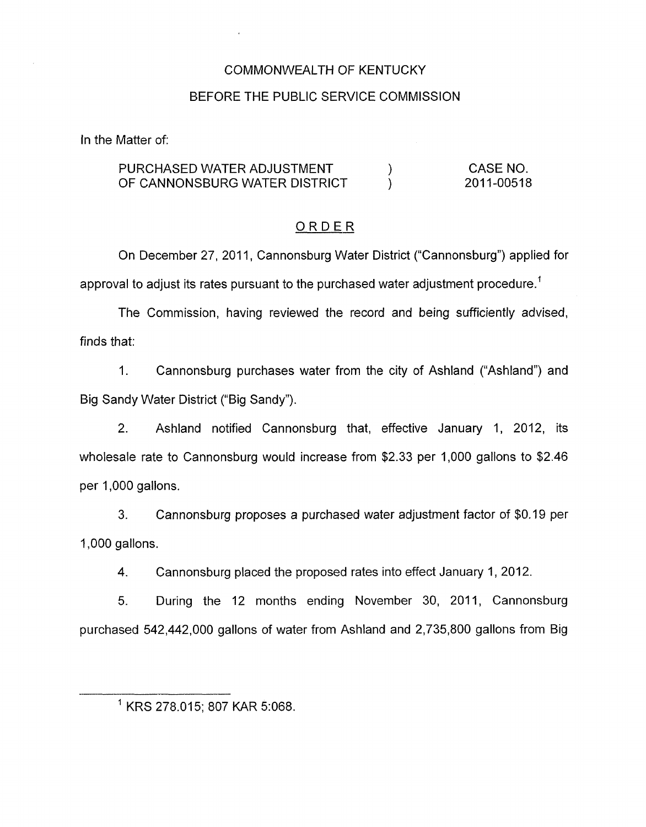## COMMONWEALTH OF KENTUCKY

## BEFORE THE PUBLIC SERVICE COMMISSION

In the Matter of:

#### PURCHASED WATER ADJUSTMENT  $\overrightarrow{O}$  (PCANNONSBURG WATER DISTRICT  $\overrightarrow{O}$ ) OF CANNONSBURG WATER DISTRICT CASE NO. 2011-00518

## ORDER

On December 27, 2011, Cannonsburg Water District ("Cannonsburg") applied for approval to adjust its rates pursuant to the purchased water adjustment procedure.<sup>1</sup>

The Commission, having reviewed the record and being sufficiently advised, finds that:

1. Cannonsburg purchases water from the city of Ashland ("Ashland") and Big Sandy Water District ("Big Sandy").

2. Ashland notified Cannonsburg that, effective January 1, 2012, its wholesale rate to Cannonsburg would increase from \$2.33 per 1,000 gallons to \$2.46 per 1,000 gallons.

3. 1,000 gallons. Cannonsburg proposes a purchased water adjustment factor of \$0.19 per

4. Cannonsburg placed the proposed rates into effect January 1, 2012.

5. During the 12 months ending November 30, 2011, Cannonsburg purchased 542,442,000 gallons of water from Ashland and 2,735,800 gallons from Big

<sup>&#</sup>x27; KRS 278.015: 807 KAR 5:068.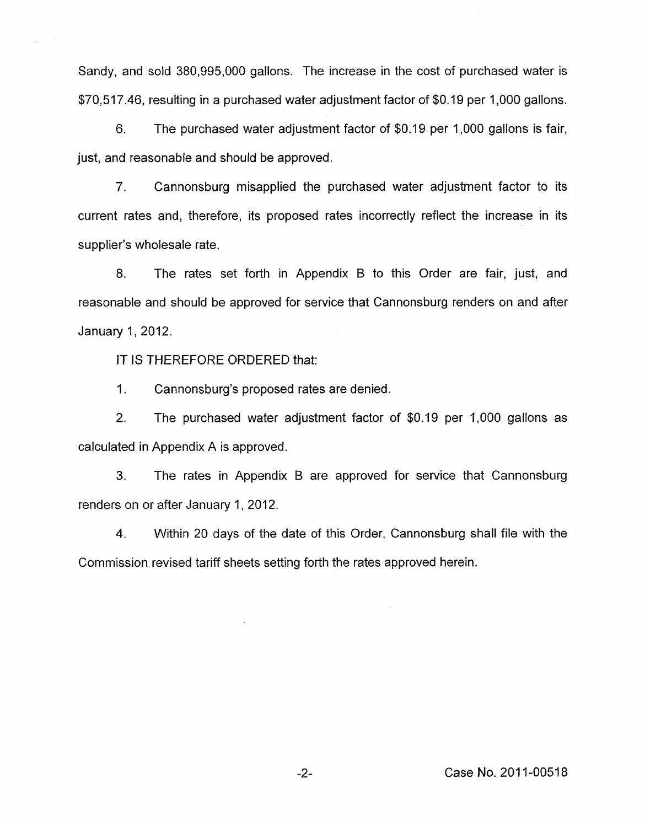Sandy, and sold 380,995,000 gallons. The increase in the cost of purchased water is \$70,517.46, resulting in a purchased water adjustment factor of \$0.19 per 1,000 gallons.

6. The purchased water adjustment factor of \$0.19 per 1,000 gallons is fair, just, and reasonable and should be approved.

7. Cannonsburg misapplied the purchased water adjustment factor to its current rates and, therefore, its proposed rates incorrectly reflect the increase in its supplier's wholesale rate.

8. The rates set forth in Appendix B to this Order are fair, just, and reasonable and should be approved for service that Cannonsburg renders on and after January 1,2012.

IT IS THEREFORE ORDERED that:

1. Cannonsburg's proposed rates are denied.

2. The purchased water adjustment factor of \$0.19 per 1,000 gallons as calculated in Appendix A is approved.

**3.** The rates in Appendix B are approved for service that Cannonsburg renders on or after January 1, 2012.

4. Within 20 days of the date of this Order, Cannonsburg shall file with the Commission revised tariff sheets setting forth the rates approved herein.

-2- Case **No.** 201 1-0051 8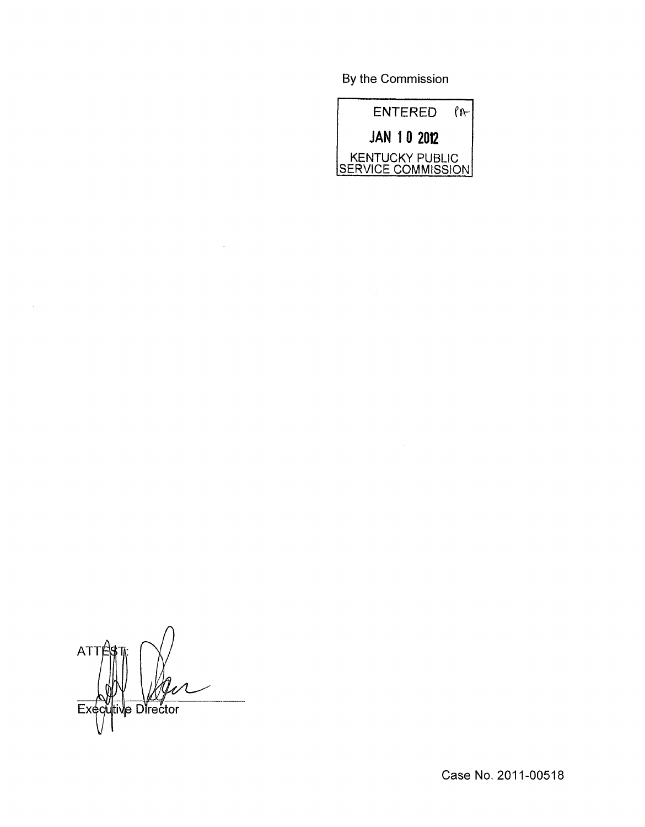By the Commission



 $\sim$ 

**ATT** Executive Director

 $\sim$ 

Case No. 2011-00518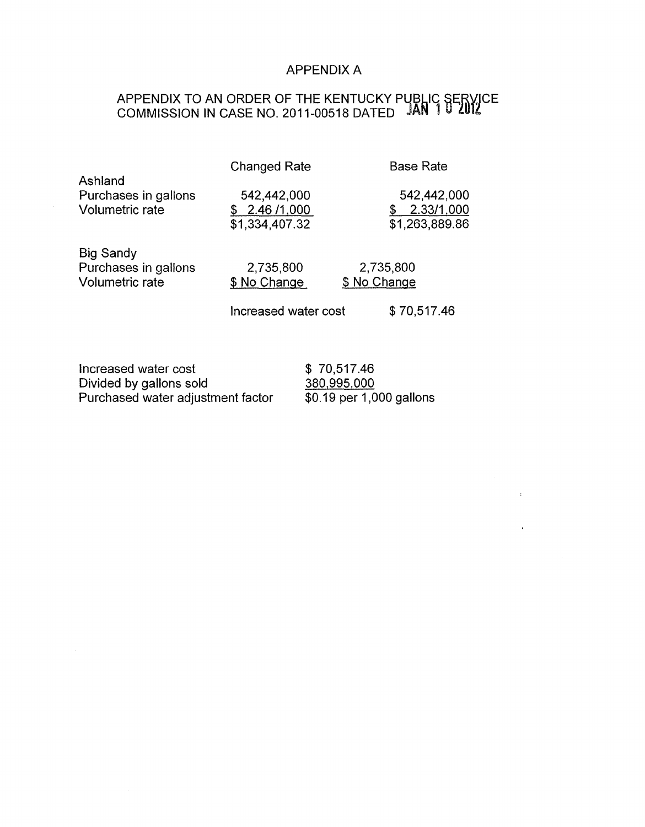# APPENDIX A

## APPENDIX TO AN ORDER OF THE KENTUCKY PU COMMISSION IN CASE NO. 2011-00518 DATED

|                      | <b>Changed Rate</b> | <b>Base Rate</b> |
|----------------------|---------------------|------------------|
| Ashland              |                     |                  |
| Purchases in gallons | 542,442,000         | 542,442,000      |
| Volumetric rate      | 2.46 /1,000         | 2.33/1,000       |
|                      | \$1,334,407.32      | \$1,263,889.86   |
| <b>Big Sandy</b>     |                     |                  |
| Purchases in gallons | 2,735,800           | 2,735,800        |
|                      |                     |                  |

Volumetric rate  $$ No Change$   $$ No Change$ 

Increased water cost \$70,517.46

 $\sim 30\%$ 

 $\sim 10^{11}$  km s  $^{-1}$ 

| Increased water cost              | \$70,517.46              |
|-----------------------------------|--------------------------|
| Divided by gallons sold           | 380,995,000              |
| Purchased water adjustment factor | \$0.19 per 1,000 gallons |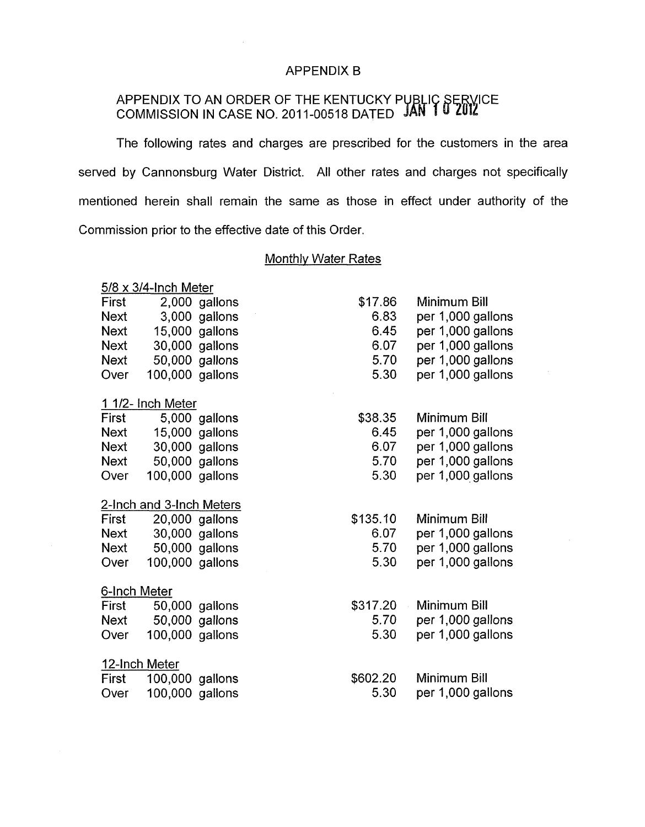## APPENDIX B

## APPENDIX TO AN ORDER OF THE KENTUCKY P COMMISSION IN CASE NO. 201 1-00518 DATED

The following rates and charges are prescribed for the customers in the area served by Cannonsburg Water District. All other rates and charges not specifically mentioned herein shall remain the same as those in effect under authority of the Commission prior to the effective date of this Order.

### Monthlv Water Rates

| $5/8 \times 3/4$ -Inch Meter |                   |                |          |                   |  |
|------------------------------|-------------------|----------------|----------|-------------------|--|
| First                        | 2,000             | gallons        | \$17.86  | Minimum Bill      |  |
| <b>Next</b>                  |                   | 3,000 gallons  | 6.83     | per 1,000 gallons |  |
| <b>Next</b>                  | 15,000            | gallons        | 6.45     | per 1,000 gallons |  |
| <b>Next</b>                  | 30,000            | gallons        | 6.07     | per 1,000 gallons |  |
| <b>Next</b>                  | 50,000            | gallons        | 5.70     | per 1,000 gallons |  |
| Over                         | 100,000 gallons   |                | 5.30     | per 1,000 gallons |  |
|                              | 1 1/2- Inch Meter |                |          |                   |  |
| First                        |                   | 5,000 gallons  | \$38.35  | Minimum Bill      |  |
| <b>Next</b>                  |                   | 15,000 gallons | 6.45     | per 1,000 gallons |  |
| <b>Next</b>                  | 30,000            | gallons        | 6.07     | per 1,000 gallons |  |
| <b>Next</b>                  | 50,000            | gallons        | 5.70     | per 1,000 gallons |  |
| Over                         | 100,000 gallons   |                | 5.30     | per 1,000 gallons |  |
| 2-Inch and 3-Inch Meters     |                   |                |          |                   |  |
| First                        | 20,000            | gallons        | \$135.10 | Minimum Bill      |  |
| <b>Next</b>                  |                   | 30,000 gallons | 6.07     | per 1,000 gallons |  |
| <b>Next</b>                  | 50,000            | gallons        | 5.70     | per 1,000 gallons |  |
| Over                         | 100,000 gallons   |                | 5.30     | per 1,000 gallons |  |
| 6-Inch Meter                 |                   |                |          |                   |  |
| First                        |                   | 50,000 gallons | \$317.20 | Minimum Bill      |  |
| <b>Next</b>                  | 50,000            | gallons        | 5.70     | per 1,000 gallons |  |
| Over                         | 100,000 gallons   |                | 5.30     | per 1,000 gallons |  |
| 12-Inch Meter                |                   |                |          |                   |  |
| First                        | 100,000           | gallons        | \$602.20 | Minimum Bill      |  |
| Over                         | 100,000 gallons   |                | 5.30     | per 1,000 gallons |  |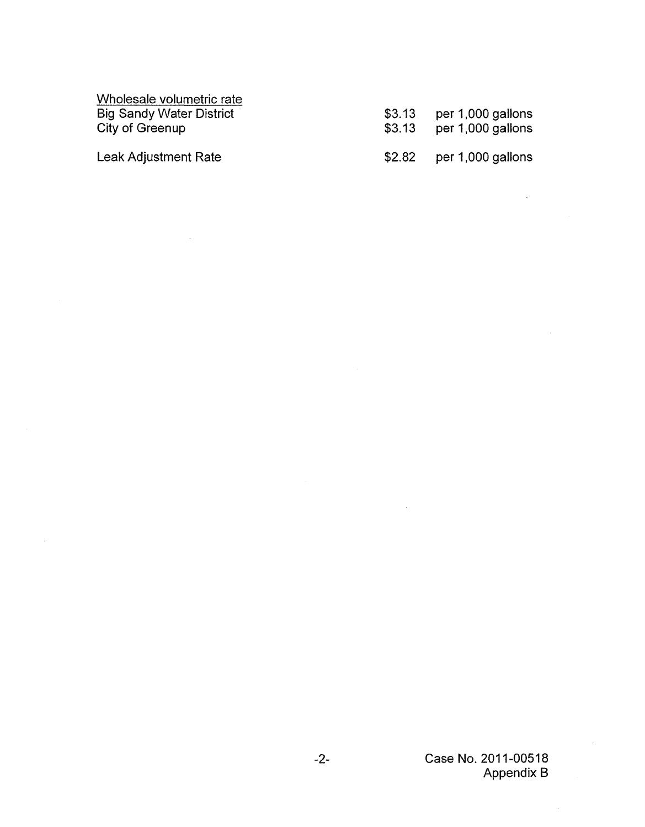Wholesale volumetric rate Big Sandy Water District City of Greenup

Leak Adjustment Rate

 $\bar{z}$ 

| \$3.13 | per 1,000 gallons |
|--------|-------------------|
| \$3.13 | per 1,000 gallons |
|        |                   |

\$2.82 per 1,000 gallons

 $\mathcal{A}_\mathrm{c}$ 

 $\sim 10^{-11}$